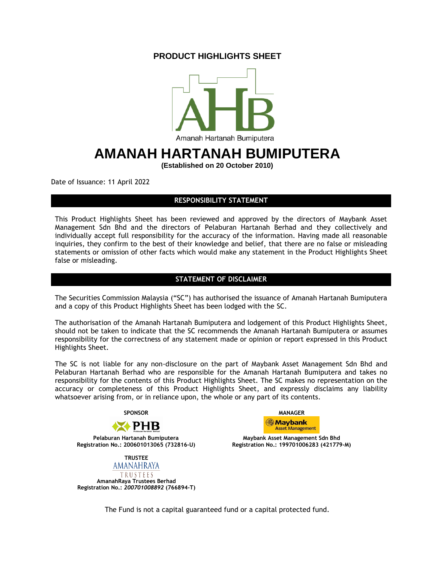## **PRODUCT HIGHLIGHTS SHEET**



# **AMANAH HARTANAH BUMIPUTERA**

**(Established on 20 October 2010)**

Date of Issuance: 11 April 2022

### **RESPONSIBILITY STATEMENT**

This Product Highlights Sheet has been reviewed and approved by the directors of Maybank Asset Management Sdn Bhd and the directors of Pelaburan Hartanah Berhad and they collectively and individually accept full responsibility for the accuracy of the information. Having made all reasonable inquiries, they confirm to the best of their knowledge and belief, that there are no false or misleading statements or omission of other facts which would make any statement in the Product Highlights Sheet false or misleading.

### **STATEMENT OF DISCLAIMER**

The Securities Commission Malaysia ("SC") has authorised the issuance of Amanah Hartanah Bumiputera and a copy of this Product Highlights Sheet has been lodged with the SC.

The authorisation of the Amanah Hartanah Bumiputera and lodgement of this Product Highlights Sheet, should not be taken to indicate that the SC recommends the Amanah Hartanah Bumiputera or assumes responsibility for the correctness of any statement made or opinion or report expressed in this Product Highlights Sheet.

The SC is not liable for any non-disclosure on the part of Maybank Asset Management Sdn Bhd and Pelaburan Hartanah Berhad who are responsible for the Amanah Hartanah Bumiputera and takes no responsibility for the contents of this Product Highlights Sheet. The SC makes no representation on the accuracy or completeness of this Product Highlights Sheet, and expressly disclaims any liability whatsoever arising from, or in reliance upon, the whole or any part of its contents.



**Registration No.: 200601013065 (732816-U) Registration No.: 199701006283 (421779-M)**



TRUSTEES **AmanahRaya Trustees Berhad Registration No.:** *200701008892* **(766894-T)**



**Pelaburan Hartanah Bumiputera Maybank Asset Management Sdn Bhd**

The Fund is not a capital guaranteed fund or a capital protected fund.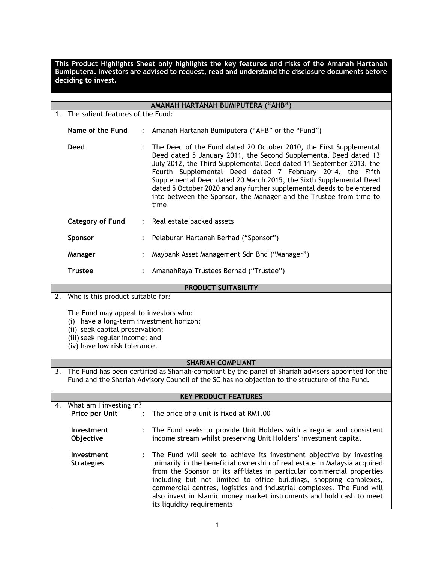**This Product Highlights Sheet only highlights the key features and risks of the Amanah Hartanah Bumiputera. Investors are advised to request, read and understand the disclosure documents before deciding to invest.**

| 1. | AMANAH HARTANAH BUMIPUTERA ("AHB")<br>The salient features of the Fund:                                                                                                                                  |                      |                                                                                                                                                                                                                                                                                                                                                                                                                                                                                                         |  |  |  |
|----|----------------------------------------------------------------------------------------------------------------------------------------------------------------------------------------------------------|----------------------|---------------------------------------------------------------------------------------------------------------------------------------------------------------------------------------------------------------------------------------------------------------------------------------------------------------------------------------------------------------------------------------------------------------------------------------------------------------------------------------------------------|--|--|--|
|    |                                                                                                                                                                                                          |                      |                                                                                                                                                                                                                                                                                                                                                                                                                                                                                                         |  |  |  |
|    | Name of the Fund                                                                                                                                                                                         |                      | Amanah Hartanah Bumiputera ("AHB" or the "Fund")                                                                                                                                                                                                                                                                                                                                                                                                                                                        |  |  |  |
|    | <b>Deed</b>                                                                                                                                                                                              |                      | The Deed of the Fund dated 20 October 2010, the First Supplemental<br>Deed dated 5 January 2011, the Second Supplemental Deed dated 13<br>July 2012, the Third Supplemental Deed dated 11 September 2013, the<br>Fourth Supplemental Deed dated 7 February 2014, the Fifth<br>Supplemental Deed dated 20 March 2015, the Sixth Supplemental Deed<br>dated 5 October 2020 and any further supplemental deeds to be entered<br>into between the Sponsor, the Manager and the Trustee from time to<br>time |  |  |  |
|    | <b>Category of Fund</b>                                                                                                                                                                                  | $\ddot{\phantom{a}}$ | Real estate backed assets                                                                                                                                                                                                                                                                                                                                                                                                                                                                               |  |  |  |
|    | Sponsor                                                                                                                                                                                                  |                      | Pelaburan Hartanah Berhad ("Sponsor")                                                                                                                                                                                                                                                                                                                                                                                                                                                                   |  |  |  |
|    | Manager                                                                                                                                                                                                  |                      | Maybank Asset Management Sdn Bhd ("Manager")                                                                                                                                                                                                                                                                                                                                                                                                                                                            |  |  |  |
|    | <b>Trustee</b>                                                                                                                                                                                           |                      | AmanahRaya Trustees Berhad ("Trustee")                                                                                                                                                                                                                                                                                                                                                                                                                                                                  |  |  |  |
|    |                                                                                                                                                                                                          |                      | <b>PRODUCT SUITABILITY</b>                                                                                                                                                                                                                                                                                                                                                                                                                                                                              |  |  |  |
| 2. | Who is this product suitable for?                                                                                                                                                                        |                      |                                                                                                                                                                                                                                                                                                                                                                                                                                                                                                         |  |  |  |
|    | The Fund may appeal to investors who:<br>(i) have a long-term investment horizon;<br>(ii) seek capital preservation;<br>(iii) seek regular income; and<br>(iv) have low risk tolerance.                  |                      |                                                                                                                                                                                                                                                                                                                                                                                                                                                                                                         |  |  |  |
|    |                                                                                                                                                                                                          |                      | <b>SHARIAH COMPLIANT</b>                                                                                                                                                                                                                                                                                                                                                                                                                                                                                |  |  |  |
|    | 3. The Fund has been certified as Shariah-compliant by the panel of Shariah advisers appointed for the<br>Fund and the Shariah Advisory Council of the SC has no objection to the structure of the Fund. |                      |                                                                                                                                                                                                                                                                                                                                                                                                                                                                                                         |  |  |  |
|    | <b>KEY PRODUCT FEATURES</b>                                                                                                                                                                              |                      |                                                                                                                                                                                                                                                                                                                                                                                                                                                                                                         |  |  |  |
|    | 4. What am I investing in?                                                                                                                                                                               |                      |                                                                                                                                                                                                                                                                                                                                                                                                                                                                                                         |  |  |  |
|    | Price per Unit                                                                                                                                                                                           |                      | The price of a unit is fixed at RM1.00                                                                                                                                                                                                                                                                                                                                                                                                                                                                  |  |  |  |
|    | Investment<br>Objective                                                                                                                                                                                  |                      | The Fund seeks to provide Unit Holders with a regular and consistent<br>income stream whilst preserving Unit Holders' investment capital                                                                                                                                                                                                                                                                                                                                                                |  |  |  |
|    | Investment<br><b>Strategies</b>                                                                                                                                                                          |                      | The Fund will seek to achieve its investment objective by investing<br>primarily in the beneficial ownership of real estate in Malaysia acquired<br>from the Sponsor or its affiliates in particular commercial properties<br>including but not limited to office buildings, shopping complexes,<br>commercial centres, logistics and industrial complexes. The Fund will<br>also invest in Islamic money market instruments and hold cash to meet<br>its liquidity requirements                        |  |  |  |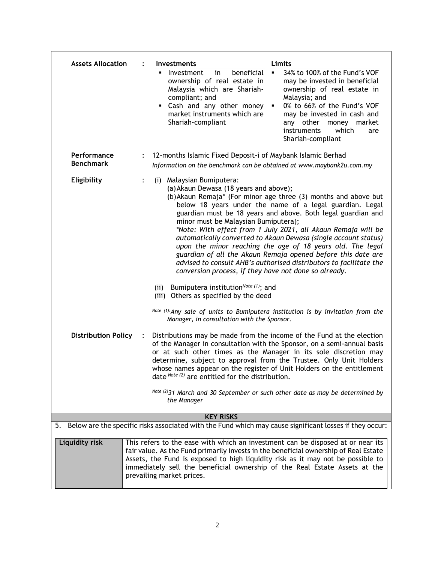| <b>Assets Allocation</b>        |                                                                                                         | <b>Investments</b>                                                                                                                                                                                                                                                                                                                                                    | Limits                                                                                                                                                                                                                                                                                                                                                                                                                                                                                                                              |  |  |  |
|---------------------------------|---------------------------------------------------------------------------------------------------------|-----------------------------------------------------------------------------------------------------------------------------------------------------------------------------------------------------------------------------------------------------------------------------------------------------------------------------------------------------------------------|-------------------------------------------------------------------------------------------------------------------------------------------------------------------------------------------------------------------------------------------------------------------------------------------------------------------------------------------------------------------------------------------------------------------------------------------------------------------------------------------------------------------------------------|--|--|--|
|                                 |                                                                                                         | beneficial<br>Investment<br>in<br>ownership of real estate in<br>Malaysia which are Shariah-<br>compliant; and<br>Cash and any other money<br>market instruments which are<br>Shariah-compliant                                                                                                                                                                       | 34% to 100% of the Fund's VOF<br>may be invested in beneficial<br>ownership of real estate in<br>Malaysia; and<br>0% to 66% of the Fund's VOF<br>٠<br>may be invested in cash and<br>any other<br>money<br>market<br>instruments<br>which<br>are<br>Shariah-compliant                                                                                                                                                                                                                                                               |  |  |  |
| Performance<br><b>Benchmark</b> |                                                                                                         | 12-months Islamic Fixed Deposit-i of Maybank Islamic Berhad<br>Information on the benchmark can be obtained at www.maybank2u.com.my                                                                                                                                                                                                                                   |                                                                                                                                                                                                                                                                                                                                                                                                                                                                                                                                     |  |  |  |
| Eligibility                     | $\ddot{\cdot}$                                                                                          | (i) Malaysian Bumiputera:<br>(a) Akaun Dewasa (18 years and above);<br>minor must be Malaysian Bumiputera);<br>conversion process, if they have not done so already.                                                                                                                                                                                                  | (b) Akaun Remaja* (For minor age three (3) months and above but<br>below 18 years under the name of a legal guardian. Legal<br>guardian must be 18 years and above. Both legal guardian and<br>*Note: With effect from 1 July 2021, all Akaun Remaja will be<br>automatically converted to Akaun Dewasa (single account status)<br>upon the minor reaching the age of 18 years old. The legal<br>guardian of all the Akaun Remaja opened before this date are<br>advised to consult AHB's authorised distributors to facilitate the |  |  |  |
|                                 |                                                                                                         | Bumiputera institution <sup>Note (1)</sup> ; and<br>(ii)<br>(iii) Others as specified by the deed<br>Manager, in consultation with the Sponsor.                                                                                                                                                                                                                       | Note (1): Any sale of units to Bumiputera institution is by invitation from the                                                                                                                                                                                                                                                                                                                                                                                                                                                     |  |  |  |
| <b>Distribution Policy</b>      | $\ddot{\cdot}$                                                                                          | date Note (2) are entitled for the distribution.                                                                                                                                                                                                                                                                                                                      | Distributions may be made from the income of the Fund at the election<br>of the Manager in consultation with the Sponsor, on a semi-annual basis<br>or at such other times as the Manager in its sole discretion may<br>determine, subject to approval from the Trustee. Only Unit Holders<br>whose names appear on the register of Unit Holders on the entitlement<br>Note (2) 31 March and 30 September or such other date as may be determined by                                                                                |  |  |  |
|                                 |                                                                                                         | the Manager                                                                                                                                                                                                                                                                                                                                                           |                                                                                                                                                                                                                                                                                                                                                                                                                                                                                                                                     |  |  |  |
|                                 |                                                                                                         | <b>KEY RISKS</b>                                                                                                                                                                                                                                                                                                                                                      |                                                                                                                                                                                                                                                                                                                                                                                                                                                                                                                                     |  |  |  |
| 5.                              | Below are the specific risks associated with the Fund which may cause significant losses if they occur: |                                                                                                                                                                                                                                                                                                                                                                       |                                                                                                                                                                                                                                                                                                                                                                                                                                                                                                                                     |  |  |  |
| Liquidity risk                  |                                                                                                         | This refers to the ease with which an investment can be disposed at or near its<br>fair value. As the Fund primarily invests in the beneficial ownership of Real Estate<br>Assets, the Fund is exposed to high liquidity risk as it may not be possible to<br>immediately sell the beneficial ownership of the Real Estate Assets at the<br>prevailing market prices. |                                                                                                                                                                                                                                                                                                                                                                                                                                                                                                                                     |  |  |  |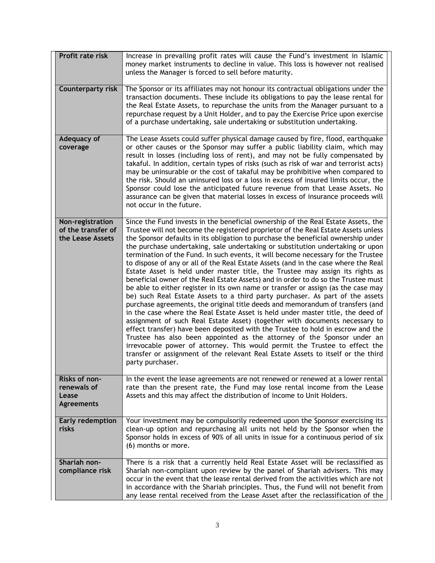| <b>Profit rate risk</b>                                    | Increase in prevailing profit rates will cause the Fund's investment in Islamic<br>money market instruments to decline in value. This loss is however not realised<br>unless the Manager is forced to sell before maturity.                                                                                                                                                                                                                                                                                                                                                                                                                                                                                                                                                                                                                                                                                                                                                                                                                                                                                                                                                                                                                                                                                                                                                                                                                                                    |
|------------------------------------------------------------|--------------------------------------------------------------------------------------------------------------------------------------------------------------------------------------------------------------------------------------------------------------------------------------------------------------------------------------------------------------------------------------------------------------------------------------------------------------------------------------------------------------------------------------------------------------------------------------------------------------------------------------------------------------------------------------------------------------------------------------------------------------------------------------------------------------------------------------------------------------------------------------------------------------------------------------------------------------------------------------------------------------------------------------------------------------------------------------------------------------------------------------------------------------------------------------------------------------------------------------------------------------------------------------------------------------------------------------------------------------------------------------------------------------------------------------------------------------------------------|
| <b>Counterparty risk</b>                                   | The Sponsor or its affiliates may not honour its contractual obligations under the<br>transaction documents. These include its obligations to pay the lease rental for<br>the Real Estate Assets, to repurchase the units from the Manager pursuant to a<br>repurchase request by a Unit Holder, and to pay the Exercise Price upon exercise<br>of a purchase undertaking, sale undertaking or substitution undertaking.                                                                                                                                                                                                                                                                                                                                                                                                                                                                                                                                                                                                                                                                                                                                                                                                                                                                                                                                                                                                                                                       |
| Adequacy of<br>coverage                                    | The Lease Assets could suffer physical damage caused by fire, flood, earthquake<br>or other causes or the Sponsor may suffer a public liability claim, which may<br>result in losses (including loss of rent), and may not be fully compensated by<br>takaful. In addition, certain types of risks (such as risk of war and terrorist acts)<br>may be uninsurable or the cost of takaful may be prohibitive when compared to<br>the risk. Should an uninsured loss or a loss in excess of insured limits occur, the<br>Sponsor could lose the anticipated future revenue from that Lease Assets. No<br>assurance can be given that material losses in excess of insurance proceeds will<br>not occur in the future.                                                                                                                                                                                                                                                                                                                                                                                                                                                                                                                                                                                                                                                                                                                                                            |
| Non-registration<br>of the transfer of<br>the Lease Assets | Since the Fund invests in the beneficial ownership of the Real Estate Assets, the<br>Trustee will not become the registered proprietor of the Real Estate Assets unless<br>the Sponsor defaults in its obligation to purchase the beneficial ownership under<br>the purchase undertaking, sale undertaking or substitution undertaking or upon<br>termination of the Fund. In such events, it will become necessary for the Trustee<br>to dispose of any or all of the Real Estate Assets (and in the case where the Real<br>Estate Asset is held under master title, the Trustee may assign its rights as<br>beneficial owner of the Real Estate Assets) and in order to do so the Trustee must<br>be able to either register in its own name or transfer or assign (as the case may<br>be) such Real Estate Assets to a third party purchaser. As part of the assets<br>purchase agreements, the original title deeds and memorandum of transfers (and<br>in the case where the Real Estate Asset is held under master title, the deed of<br>assignment of such Real Estate Asset) (together with documents necessary to<br>effect transfer) have been deposited with the Trustee to hold in escrow and the<br>Trustee has also been appointed as the attorney of the Sponsor under an<br>irrevocable power of attorney. This would permit the Trustee to effect the<br>transfer or assignment of the relevant Real Estate Assets to itself or the third<br>party purchaser. |
| Risks of non-<br>renewals of<br>Lease<br><b>Agreements</b> | In the event the lease agreements are not renewed or renewed at a lower rental<br>rate than the present rate, the Fund may lose rental income from the Lease<br>Assets and this may affect the distribution of income to Unit Holders.                                                                                                                                                                                                                                                                                                                                                                                                                                                                                                                                                                                                                                                                                                                                                                                                                                                                                                                                                                                                                                                                                                                                                                                                                                         |
| <b>Early redemption</b><br>risks                           | Your investment may be compulsorily redeemed upon the Sponsor exercising its<br>clean-up option and repurchasing all units not held by the Sponsor when the<br>Sponsor holds in excess of 90% of all units in issue for a continuous period of six<br>(6) months or more.                                                                                                                                                                                                                                                                                                                                                                                                                                                                                                                                                                                                                                                                                                                                                                                                                                                                                                                                                                                                                                                                                                                                                                                                      |
| Shariah non-<br>compliance risk                            | There is a risk that a currently held Real Estate Asset will be reclassified as<br>Shariah non-compliant upon review by the panel of Shariah advisers. This may<br>occur in the event that the lease rental derived from the activities which are not<br>in accordance with the Shariah principles. Thus, the Fund will not benefit from<br>any lease rental received from the Lease Asset after the reclassification of the                                                                                                                                                                                                                                                                                                                                                                                                                                                                                                                                                                                                                                                                                                                                                                                                                                                                                                                                                                                                                                                   |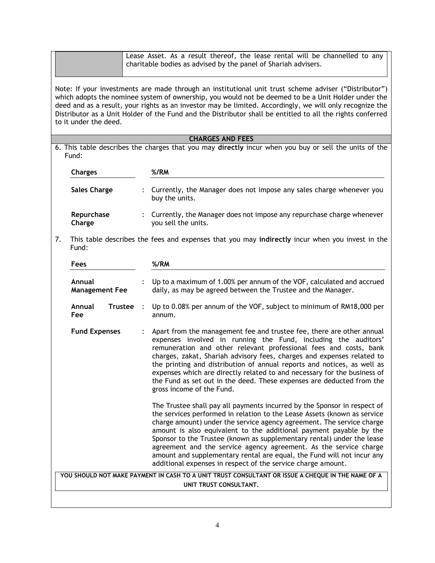|    | Lease Asset. As a result thereof, the lease rental will be channelled to any<br>charitable bodies as advised by the panel of Shariah advisers.                                                                                                                                                                                                                                                                                                                  |  |                                                                                                                                                                                                                                                                                                                                                                                                                                                                                                                                                                                              |  |  |  |
|----|-----------------------------------------------------------------------------------------------------------------------------------------------------------------------------------------------------------------------------------------------------------------------------------------------------------------------------------------------------------------------------------------------------------------------------------------------------------------|--|----------------------------------------------------------------------------------------------------------------------------------------------------------------------------------------------------------------------------------------------------------------------------------------------------------------------------------------------------------------------------------------------------------------------------------------------------------------------------------------------------------------------------------------------------------------------------------------------|--|--|--|
|    | Note: If your investments are made through an institutional unit trust scheme adviser ("Distributor")<br>which adopts the nominee system of ownership, you would not be deemed to be a Unit Holder under the<br>deed and as a result, your rights as an investor may be limited. Accordingly, we will only recognize the<br>Distributor as a Unit Holder of the Fund and the Distributor shall be entitled to all the rights conferred<br>to it under the deed. |  |                                                                                                                                                                                                                                                                                                                                                                                                                                                                                                                                                                                              |  |  |  |
|    |                                                                                                                                                                                                                                                                                                                                                                                                                                                                 |  | <b>CHARGES AND FEES</b>                                                                                                                                                                                                                                                                                                                                                                                                                                                                                                                                                                      |  |  |  |
|    | Fund:                                                                                                                                                                                                                                                                                                                                                                                                                                                           |  | 6. This table describes the charges that you may directly incur when you buy or sell the units of the                                                                                                                                                                                                                                                                                                                                                                                                                                                                                        |  |  |  |
|    | <b>Charges</b>                                                                                                                                                                                                                                                                                                                                                                                                                                                  |  | %/RM                                                                                                                                                                                                                                                                                                                                                                                                                                                                                                                                                                                         |  |  |  |
|    | <b>Sales Charge</b>                                                                                                                                                                                                                                                                                                                                                                                                                                             |  | Currently, the Manager does not impose any sales charge whenever you<br>buy the units.                                                                                                                                                                                                                                                                                                                                                                                                                                                                                                       |  |  |  |
|    | Repurchase<br>Charge                                                                                                                                                                                                                                                                                                                                                                                                                                            |  | : Currently, the Manager does not impose any repurchase charge whenever<br>you sell the units.                                                                                                                                                                                                                                                                                                                                                                                                                                                                                               |  |  |  |
| 7. | Fund:                                                                                                                                                                                                                                                                                                                                                                                                                                                           |  | This table describes the fees and expenses that you may indirectly incur when you invest in the                                                                                                                                                                                                                                                                                                                                                                                                                                                                                              |  |  |  |
|    | Fees                                                                                                                                                                                                                                                                                                                                                                                                                                                            |  | %/RM                                                                                                                                                                                                                                                                                                                                                                                                                                                                                                                                                                                         |  |  |  |
|    | Annual<br><b>Management Fee</b>                                                                                                                                                                                                                                                                                                                                                                                                                                 |  | Up to a maximum of 1.00% per annum of the VOF, calculated and accrued<br>daily, as may be agreed between the Trustee and the Manager.                                                                                                                                                                                                                                                                                                                                                                                                                                                        |  |  |  |
|    | Annual<br>Trustee :<br>Fee                                                                                                                                                                                                                                                                                                                                                                                                                                      |  | Up to 0.08% per annum of the VOF, subject to minimum of RM18,000 per<br>annum.                                                                                                                                                                                                                                                                                                                                                                                                                                                                                                               |  |  |  |
|    | <b>Fund Expenses</b>                                                                                                                                                                                                                                                                                                                                                                                                                                            |  | Apart from the management fee and trustee fee, there are other annual<br>expenses involved in running the Fund, including the auditors'<br>remuneration and other relevant professional fees and costs, bank<br>charges, zakat, Shariah advisory fees, charges and expenses related to<br>the printing and distribution of annual reports and notices, as well as<br>expenses which are directly related to and necessary for the business of<br>the Fund as set out in the deed. These expenses are deducted from the<br>gross income of the Fund.                                          |  |  |  |
|    |                                                                                                                                                                                                                                                                                                                                                                                                                                                                 |  | The Trustee shall pay all payments incurred by the Sponsor in respect of<br>the services performed in relation to the Lease Assets (known as service<br>charge amount) under the service agency agreement. The service charge<br>amount is also equivalent to the additional payment payable by the<br>Sponsor to the Trustee (known as supplementary rental) under the lease<br>agreement and the service agency agreement. As the service charge<br>amount and supplementary rental are equal, the Fund will not incur any<br>additional expenses in respect of the service charge amount. |  |  |  |
|    |                                                                                                                                                                                                                                                                                                                                                                                                                                                                 |  | YOU SHOULD NOT MAKE PAYMENT IN CASH TO A UNIT TRUST CONSULTANT OR ISSUE A CHEQUE IN THE NAME OF A<br>UNIT TRUST CONSULTANT.                                                                                                                                                                                                                                                                                                                                                                                                                                                                  |  |  |  |
|    |                                                                                                                                                                                                                                                                                                                                                                                                                                                                 |  |                                                                                                                                                                                                                                                                                                                                                                                                                                                                                                                                                                                              |  |  |  |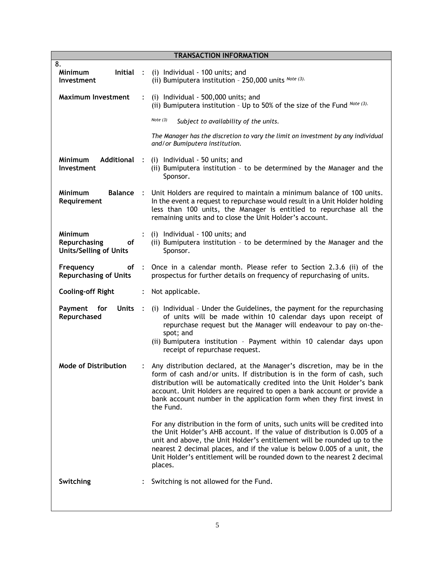| <b>TRANSACTION INFORMATION</b>                                        |                      |                                                                                                                                                                                                                                                                                                                                                                                                       |  |  |  |
|-----------------------------------------------------------------------|----------------------|-------------------------------------------------------------------------------------------------------------------------------------------------------------------------------------------------------------------------------------------------------------------------------------------------------------------------------------------------------------------------------------------------------|--|--|--|
| 8.                                                                    |                      |                                                                                                                                                                                                                                                                                                                                                                                                       |  |  |  |
| Minimum<br>lnitial :<br>Investment                                    |                      | (i) Individual - 100 units; and<br>(ii) Bumiputera institution - 250,000 units Note (3).                                                                                                                                                                                                                                                                                                              |  |  |  |
| <b>Maximum Investment</b>                                             |                      | (i) Individual - 500,000 units; and<br>(ii) Bumiputera institution - Up to 50% of the size of the Fund Note (3).                                                                                                                                                                                                                                                                                      |  |  |  |
|                                                                       |                      | Note $(3)$<br>Subject to availability of the units.                                                                                                                                                                                                                                                                                                                                                   |  |  |  |
|                                                                       |                      | The Manager has the discretion to vary the limit on investment by any individual<br>and/or Bumiputera institution.                                                                                                                                                                                                                                                                                    |  |  |  |
| Additional :<br><b>Minimum</b><br>Investment                          |                      | (i) Individual - 50 units; and<br>(ii) Bumiputera institution - to be determined by the Manager and the<br>Sponsor.                                                                                                                                                                                                                                                                                   |  |  |  |
| <b>Balance</b><br><b>Minimum</b><br>Requirement                       | $\mathbb{R}^2$       | Unit Holders are required to maintain a minimum balance of 100 units.<br>In the event a request to repurchase would result in a Unit Holder holding<br>less than 100 units, the Manager is entitled to repurchase all the<br>remaining units and to close the Unit Holder's account.                                                                                                                  |  |  |  |
| <b>Minimum</b><br>Repurchasing<br>of<br><b>Units/Selling of Units</b> |                      | (i) Individual - 100 units; and<br>(ii) Bumiputera institution - to be determined by the Manager and the<br>Sponsor.                                                                                                                                                                                                                                                                                  |  |  |  |
| Frequency<br><b>Repurchasing of Units</b>                             |                      | of : Once in a calendar month. Please refer to Section 2.3.6 (ii) of the<br>prospectus for further details on frequency of repurchasing of units.                                                                                                                                                                                                                                                     |  |  |  |
| <b>Cooling-off Right</b>                                              | $\ddot{\phantom{a}}$ | Not applicable.                                                                                                                                                                                                                                                                                                                                                                                       |  |  |  |
| Payment<br><b>Units</b><br>for<br>Repurchased                         | $\mathbb{R}^2$       | (i) Individual - Under the Guidelines, the payment for the repurchasing<br>of units will be made within 10 calendar days upon receipt of<br>repurchase request but the Manager will endeavour to pay on-the-<br>spot; and<br>(ii) Bumiputera institution - Payment within 10 calendar days upon<br>receipt of repurchase request.                                                                     |  |  |  |
| <b>Mode of Distribution</b>                                           |                      | Any distribution declared, at the Manager's discretion, may be in the<br>form of cash and/or units. If distribution is in the form of cash, such<br>distribution will be automatically credited into the Unit Holder's bank<br>account. Unit Holders are required to open a bank account or provide a<br>bank account number in the application form when they first invest in<br>the Fund.           |  |  |  |
|                                                                       |                      | For any distribution in the form of units, such units will be credited into<br>the Unit Holder's AHB account. If the value of distribution is 0.005 of a<br>unit and above, the Unit Holder's entitlement will be rounded up to the<br>nearest 2 decimal places, and if the value is below 0.005 of a unit, the<br>Unit Holder's entitlement will be rounded down to the nearest 2 decimal<br>places. |  |  |  |
| Switching                                                             |                      | Switching is not allowed for the Fund.                                                                                                                                                                                                                                                                                                                                                                |  |  |  |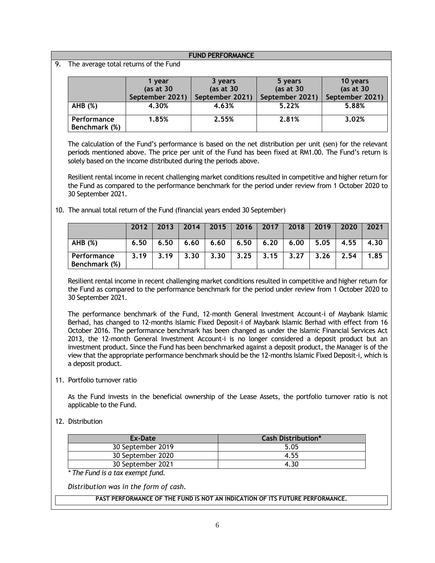**FUND PERFORMANCE**

9. The average total returns of the Fund

|                              | 1 year          |                 | 5 years         | 10 years        |  |
|------------------------------|-----------------|-----------------|-----------------|-----------------|--|
|                              | (as at $30$     | (as at $30$     | (as at $30$     | (as at $30$     |  |
|                              | September 2021) | September 2021) | September 2021) | September 2021) |  |
| AHB (%)                      | 4.30%           | 4.63%           | 5.22%           | 5.88%           |  |
| Performance<br>Benchmark (%) | 1.85%           | 2.55%           | 2.81%           | 3.02%           |  |

The calculation of the Fund's performance is based on the net distribution per unit (sen) for the relevant periods mentioned above. The price per unit of the Fund has been fixed at RM1.00. The Fund's return is solely based on the income distributed during the periods above.

Resilient rental income in recent challenging market conditions resulted in competitive and higher return for the Fund as compared to the performance benchmark for the period under review from 1 October 2020 to 30 September 2021.

10. The annual total return of the Fund (financial years ended 30 September)

|                              | 2012 | 2013 | 2014 | 2015 |             | $2016$   2017 | 2018 | 2019 | 2020 | 2021 |
|------------------------------|------|------|------|------|-------------|---------------|------|------|------|------|
| AHB (%)                      | 6.50 | 6.50 | 6.60 | 6.60 | 6.50   6.20 |               | 6.00 | 5.05 | 4.55 | 4.30 |
| Performance<br>Benchmark (%) | 3.19 | 3.19 | 3.30 | 3.30 | 3.25        | 3.15          | 3.27 | 3.26 | 2.54 | 1.85 |

Resilient rental income in recent challenging market conditions resulted in competitive and higher return for the Fund as compared to the performance benchmark for the period under review from 1 October 2020 to 30 September 2021.

The performance benchmark of the Fund, 12-month General Investment Account-i of Maybank Islamic Berhad, has changed to 12-months Islamic Fixed Deposit-i of Maybank Islamic Berhad with effect from 16 October 2016. The performance benchmark has been changed as under the Islamic Financial Services Act 2013, the 12-month General Investment Account-i is no longer considered a deposit product but an investment product. Since the Fund has been benchmarked against a deposit product, the Manager is of the view that the appropriate performance benchmark should be the 12-months Islamic Fixed Deposit-i, which is a deposit product.

11. Portfolio turnover ratio

As the Fund invests in the beneficial ownership of the Lease Assets, the portfolio turnover ratio is not applicable to the Fund.

### 12. Distribution

| Ex-Date           | <b>Cash Distribution*</b> |
|-------------------|---------------------------|
| 30 September 2019 | 5.05                      |
| 30 September 2020 | 4.55                      |
| 30 September 2021 | 4.30                      |

*\* The Fund is a tax exempt fund.*

*Distribution was in the form of cash.*

**PAST PERFORMANCE OF THE FUND IS NOT AN INDICATION OF ITS FUTURE PERFORMANCE.**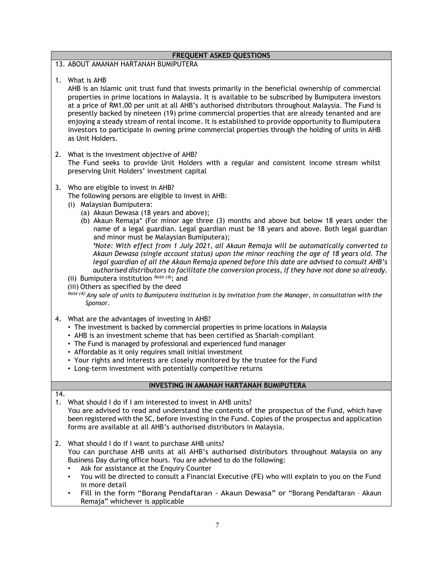|           | <b>FREQUENT ASKED QUESTIONS</b>                                                                                                                                                                                                                                                                                                                                                                                                                                                                                                                                                                                                                                                                                                                                                                                                                                                                                                                                                                                               |  |  |  |  |
|-----------|-------------------------------------------------------------------------------------------------------------------------------------------------------------------------------------------------------------------------------------------------------------------------------------------------------------------------------------------------------------------------------------------------------------------------------------------------------------------------------------------------------------------------------------------------------------------------------------------------------------------------------------------------------------------------------------------------------------------------------------------------------------------------------------------------------------------------------------------------------------------------------------------------------------------------------------------------------------------------------------------------------------------------------|--|--|--|--|
|           | 13. ABOUT AMANAH HARTANAH BUMIPUTERA                                                                                                                                                                                                                                                                                                                                                                                                                                                                                                                                                                                                                                                                                                                                                                                                                                                                                                                                                                                          |  |  |  |  |
|           | 1. What is AHB<br>AHB is an Islamic unit trust fund that invests primarily in the beneficial ownership of commercial<br>properties in prime locations in Malaysia. It is available to be subscribed by Bumiputera investors<br>at a price of RM1.00 per unit at all AHB's authorised distributors throughout Malaysia. The Fund is<br>presently backed by nineteen (19) prime commercial properties that are already tenanted and are<br>enjoying a steady stream of rental income. It is established to provide opportunity to Bumiputera<br>investors to participate in owning prime commercial properties through the holding of units in AHB<br>as Unit Holders.                                                                                                                                                                                                                                                                                                                                                          |  |  |  |  |
| 2.        | What is the investment objective of AHB?<br>The Fund seeks to provide Unit Holders with a regular and consistent income stream whilst<br>preserving Unit Holders' investment capital                                                                                                                                                                                                                                                                                                                                                                                                                                                                                                                                                                                                                                                                                                                                                                                                                                          |  |  |  |  |
| 3.        | Who are eligible to invest in AHB?<br>The following persons are eligible to invest in AHB:<br>(i) Malaysian Bumiputera:<br>(a) Akaun Dewasa (18 years and above);<br>(b) Akaun Remaja* (For minor age three (3) months and above but below 18 years under the<br>name of a legal guardian. Legal guardian must be 18 years and above. Both legal guardian<br>and minor must be Malaysian Bumiputera);<br>*Note: With effect from 1 July 2021, all Akaun Remaja will be automatically converted to<br>Akaun Dewasa (single account status) upon the minor reaching the age of 18 years old. The<br>legal guardian of all the Akaun Remaja opened before this date are advised to consult AHB's<br>authorised distributors to facilitate the conversion process, if they have not done so already.<br>(ii) Bumiputera institution $^{Note (4)}$ ; and<br>(iii) Others as specified by the deed<br>Note (4): Any sale of units to Bumiputera institution is by invitation from the Manager, in consultation with the<br>Sponsor. |  |  |  |  |
| 4.        | What are the advantages of investing in AHB?<br>• The investment is backed by commercial properties in prime locations in Malaysia<br>• AHB is an investment scheme that has been certified as Shariah-compliant<br>• The Fund is managed by professional and experienced fund manager<br>• Affordable as it only requires small initial investment<br>• Your rights and interests are closely monitored by the trustee for the Fund<br>• Long-term investment with potentially competitive returns                                                                                                                                                                                                                                                                                                                                                                                                                                                                                                                           |  |  |  |  |
|           | INVESTING IN AMANAH HARTANAH BUMIPUTERA                                                                                                                                                                                                                                                                                                                                                                                                                                                                                                                                                                                                                                                                                                                                                                                                                                                                                                                                                                                       |  |  |  |  |
| 14.<br>1. | What should I do if I am interested to invest in AHB units?<br>You are advised to read and understand the contents of the prospectus of the Fund, which have<br>been registered with the SC, before investing in the Fund. Copies of the prospectus and application<br>forms are available at all AHB's authorised distributors in Malaysia.                                                                                                                                                                                                                                                                                                                                                                                                                                                                                                                                                                                                                                                                                  |  |  |  |  |
| 2.        | What should I do if I want to purchase AHB units?<br>You can purchase AHB units at all AHB's authorised distributors throughout Malaysia on any<br>Business Day during office hours. You are advised to do the following:<br>Ask for assistance at the Enquiry Counter<br>٠<br>You will be directed to consult a Financial Executive (FE) who will explain to you on the Fund<br>in more detail                                                                                                                                                                                                                                                                                                                                                                                                                                                                                                                                                                                                                               |  |  |  |  |

• Fill in the form "Borang Pendaftaran - Akaun Dewasa" or "Borang Pendaftaran – Akaun Remaja" whichever is applicable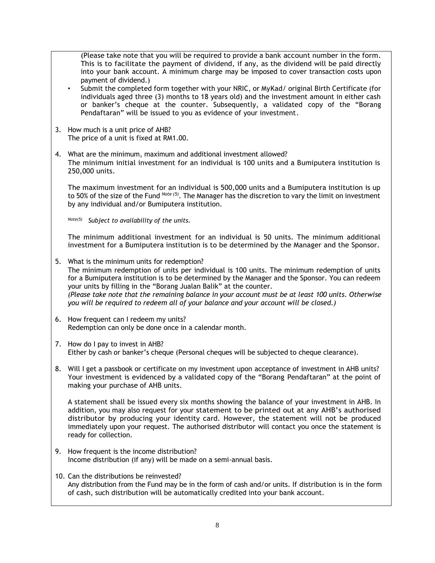(Please take note that you will be required to provide a bank account number in the form. This is to facilitate the payment of dividend, if any, as the dividend will be paid directly into your bank account. A minimum charge may be imposed to cover transaction costs upon payment of dividend.)

- Submit the completed form together with your NRIC, or MyKad/ original Birth Certificate (for individuals aged three (3) months to 18 years old) and the investment amount in either cash or banker's cheque at the counter. Subsequently, a validated copy of the "Borang Pendaftaran" will be issued to you as evidence of your investment.
- 3. How much is a unit price of AHB? The price of a unit is fixed at RM1.00.
- 4. What are the minimum, maximum and additional investment allowed? The minimum initial investment for an individual is 100 units and a Bumiputera institution is 250,000 units.

The maximum investment for an individual is 500,000 units and a Bumiputera institution is up to 50% of the size of the Fund *Note (5)* . The Manager has the discretion to vary the limit on investment by any individual and/or Bumiputera institution.

*Note(5) Subject to availability of the units.*

The minimum additional investment for an individual is 50 units. The minimum additional investment for a Bumiputera institution is to be determined by the Manager and the Sponsor.

- 5. What is the minimum units for redemption? The minimum redemption of units per individual is 100 units. The minimum redemption of units for a Bumiputera institution is to be determined by the Manager and the Sponsor. You can redeem your units by filling in the "Borang Jualan Balik" at the counter. *(Please take note that the remaining balance in your account must be at least 100 units. Otherwise you will be required to redeem all of your balance and your account will be closed.)*
- 6. How frequent can I redeem my units? Redemption can only be done once in a calendar month.
- 7. How do I pay to invest in AHB? Either by cash or banker's cheque (Personal cheques will be subjected to cheque clearance).
- 8. Will I get a passbook or certificate on my investment upon acceptance of investment in AHB units? Your investment is evidenced by a validated copy of the "Borang Pendaftaran" at the point of making your purchase of AHB units.

A statement shall be issued every six months showing the balance of your investment in AHB. In addition, you may also request for your statement to be printed out at any AHB's authorised distributor by producing your identity card. However, the statement will not be produced immediately upon your request. The authorised distributor will contact you once the statement is ready for collection.

- 9. How frequent is the income distribution? Income distribution (if any) will be made on a semi-annual basis.
- 10. Can the distributions be reinvested? Any distribution from the Fund may be in the form of cash and/or units. If distribution is in the form of cash, such distribution will be automatically credited into your bank account.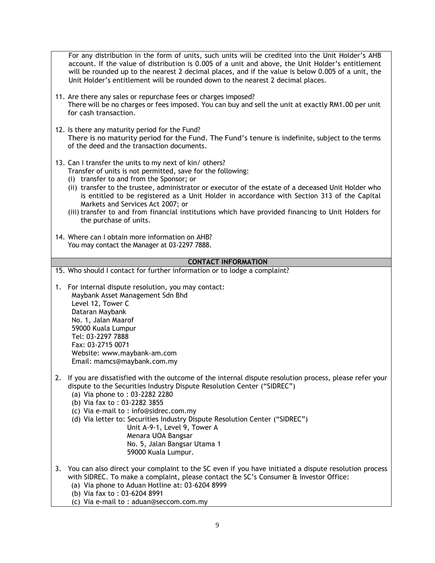For any distribution in the form of units, such units will be credited into the Unit Holder's AHB account. If the value of distribution is 0.005 of a unit and above, the Unit Holder's entitlement will be rounded up to the nearest 2 decimal places, and if the value is below 0.005 of a unit, the Unit Holder's entitlement will be rounded down to the nearest 2 decimal places.

- 11. Are there any sales or repurchase fees or charges imposed? There will be no charges or fees imposed. You can buy and sell the unit at exactly RM1.00 per unit for cash transaction.
- 12. Is there any maturity period for the Fund? There is no maturity period for the Fund. The Fund's tenure is indefinite, subject to the terms of the deed and the transaction documents.
- 13. Can I transfer the units to my next of kin/ others? Transfer of units is not permitted, save for the following:
	- (i) transfer to and from the Sponsor; or
	- (ii) transfer to the trustee, administrator or executor of the estate of a deceased Unit Holder who is entitled to be registered as a Unit Holder in accordance with Section 313 of the Capital Markets and Services Act 2007; or
	- (iii) transfer to and from financial institutions which have provided financing to Unit Holders for the purchase of units.
- 14. Where can I obtain more information on AHB? You may contact the Manager at 03-2297 7888.

### **CONTACT INFORMATION**

15. Who should I contact for further information or to lodge a complaint?

- 1. For internal dispute resolution, you may contact: Maybank Asset Management Sdn Bhd Level 12, Tower C Dataran Maybank No. 1, Jalan Maarof 59000 Kuala Lumpur Tel: 03-2297 7888 Fax: 03-2715 0071 Website: [www.maybank-am.com](http://www.maybank-am.com/) Email: mamcs@maybank.com.my
- 2. If you are dissatisfied with the outcome of the internal dispute resolution process, please refer your dispute to the Securities Industry Dispute Resolution Center ("SIDREC")
	- (a) Via phone to : 03-2282 2280
	- (b) Via fax to : 03-2282 3855
	- (c) Via e-mail to : [info@sidrec.com.my](mailto:info@sidrec.com.my)
	- (d) Via letter to: Securities Industry Dispute Resolution Center ("SIDREC")
		- Unit A-9-1, Level 9, Tower A Menara UOA Bangsar No. 5, Jalan Bangsar Utama 1 59000 Kuala Lumpur.
- 3. You can also direct your complaint to the SC even if you have initiated a dispute resolution process with SIDREC. To make a complaint, please contact the SC's Consumer & Investor Office:
	- (a) Via phone to Aduan Hotline at: 03-6204 8999
	- (b) Via fax to : 03-6204 8991
	- (c) Via e-mail to : [aduan@seccom.com.my](mailto:aduan@seccom.com.my)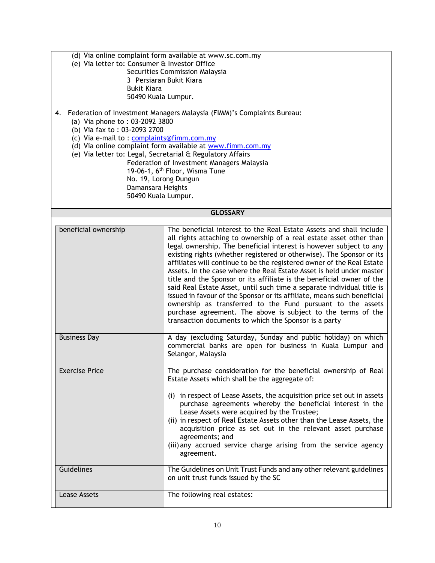- (d) Via online complaint form available at www.sc.com.my
- (e) Via letter to: Consumer & Investor Office
	- Securities Commission Malaysia 3 Persiaran Bukit Kiara Bukit Kiara 50490 Kuala Lumpur.
- 4. Federation of Investment Managers Malaysia (FIMM)'s Complaints Bureau:
	- (a) Via phone to : 03-2092 3800
	- (b) Via fax to : 03-2093 2700
	- (c) Via e-mail to : [complaints@fimm.com.my](mailto:complaints@fimm.com.my)
	- (d) Via online complaint form available at [www.fimm.com.my](http://www.fimm.com.my/)
	- (e) Via letter to: Legal, Secretarial & Regulatory Affairs
		- Federation of Investment Managers Malaysia 19-06-1, 6<sup>th</sup> Floor, Wisma Tune No. 19, Lorong Dungun Damansara Heights 50490 Kuala Lumpur.

#### **GLOSSARY**

| beneficial ownership  | The beneficial interest to the Real Estate Assets and shall include<br>all rights attaching to ownership of a real estate asset other than<br>legal ownership. The beneficial interest is however subject to any<br>existing rights (whether registered or otherwise). The Sponsor or its<br>affiliates will continue to be the registered owner of the Real Estate<br>Assets. In the case where the Real Estate Asset is held under master<br>title and the Sponsor or its affiliate is the beneficial owner of the<br>said Real Estate Asset, until such time a separate individual title is<br>issued in favour of the Sponsor or its affiliate, means such beneficial<br>ownership as transferred to the Fund pursuant to the assets<br>purchase agreement. The above is subject to the terms of the<br>transaction documents to which the Sponsor is a party |
|-----------------------|-------------------------------------------------------------------------------------------------------------------------------------------------------------------------------------------------------------------------------------------------------------------------------------------------------------------------------------------------------------------------------------------------------------------------------------------------------------------------------------------------------------------------------------------------------------------------------------------------------------------------------------------------------------------------------------------------------------------------------------------------------------------------------------------------------------------------------------------------------------------|
| <b>Business Day</b>   | A day (excluding Saturday, Sunday and public holiday) on which<br>commercial banks are open for business in Kuala Lumpur and<br>Selangor, Malaysia                                                                                                                                                                                                                                                                                                                                                                                                                                                                                                                                                                                                                                                                                                                |
| <b>Exercise Price</b> | The purchase consideration for the beneficial ownership of Real<br>Estate Assets which shall be the aggregate of:                                                                                                                                                                                                                                                                                                                                                                                                                                                                                                                                                                                                                                                                                                                                                 |
|                       | (i) in respect of Lease Assets, the acquisition price set out in assets<br>purchase agreements whereby the beneficial interest in the<br>Lease Assets were acquired by the Trustee;                                                                                                                                                                                                                                                                                                                                                                                                                                                                                                                                                                                                                                                                               |
|                       | (ii) in respect of Real Estate Assets other than the Lease Assets, the<br>acquisition price as set out in the relevant asset purchase<br>agreements; and                                                                                                                                                                                                                                                                                                                                                                                                                                                                                                                                                                                                                                                                                                          |
|                       | (iii) any accrued service charge arising from the service agency<br>agreement.                                                                                                                                                                                                                                                                                                                                                                                                                                                                                                                                                                                                                                                                                                                                                                                    |
| Guidelines            | The Guidelines on Unit Trust Funds and any other relevant guidelines<br>on unit trust funds issued by the SC                                                                                                                                                                                                                                                                                                                                                                                                                                                                                                                                                                                                                                                                                                                                                      |
| Lease Assets          | The following real estates:                                                                                                                                                                                                                                                                                                                                                                                                                                                                                                                                                                                                                                                                                                                                                                                                                                       |